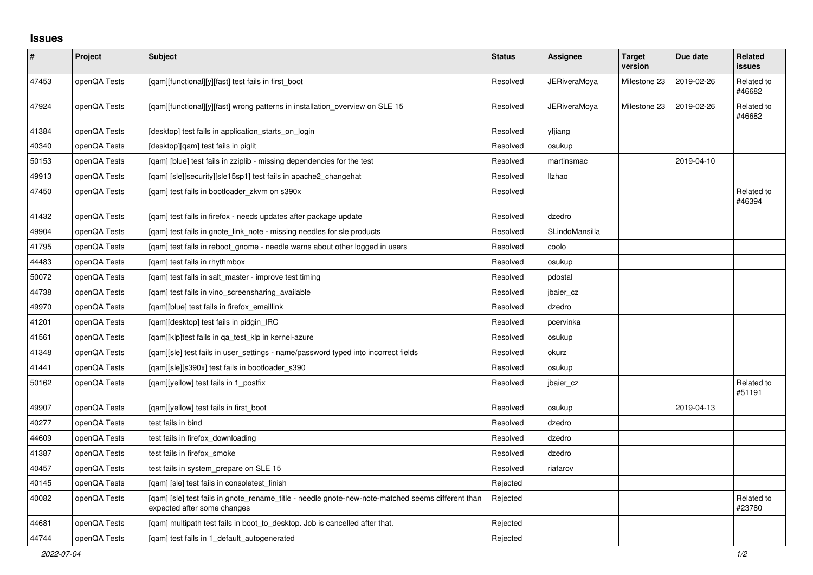## **Issues**

| $\vert$ # | Project      | <b>Subject</b>                                                                                                                   | <b>Status</b> | <b>Assignee</b>     | <b>Target</b><br>version | Due date   | <b>Related</b><br><b>issues</b> |
|-----------|--------------|----------------------------------------------------------------------------------------------------------------------------------|---------------|---------------------|--------------------------|------------|---------------------------------|
| 47453     | openQA Tests | [qam][functional][y][fast] test fails in first_boot                                                                              | Resolved      | JERiveraMoya        | Milestone 23             | 2019-02-26 | Related to<br>#46682            |
| 47924     | openQA Tests | [qam][functional][y][fast] wrong patterns in installation_overview on SLE 15                                                     | Resolved      | <b>JERiveraMoya</b> | Milestone 23             | 2019-02-26 | Related to<br>#46682            |
| 41384     | openQA Tests | [desktop] test fails in application starts on login                                                                              | Resolved      | yfjiang             |                          |            |                                 |
| 40340     | openQA Tests | [desktop][qam] test fails in piglit                                                                                              | Resolved      | osukup              |                          |            |                                 |
| 50153     | openQA Tests | [qam] [blue] test fails in zziplib - missing dependencies for the test                                                           | Resolved      | martinsmac          |                          | 2019-04-10 |                                 |
| 49913     | openQA Tests | [gam] [sle][security][sle15sp1] test fails in apache2 changehat                                                                  | Resolved      | Ilzhao              |                          |            |                                 |
| 47450     | openQA Tests | [gam] test fails in bootloader zkym on s390x                                                                                     | Resolved      |                     |                          |            | Related to<br>#46394            |
| 41432     | openQA Tests | [qam] test fails in firefox - needs updates after package update                                                                 | Resolved      | dzedro              |                          |            |                                 |
| 49904     | openQA Tests | [qam] test fails in gnote_link_note - missing needles for sle products                                                           | Resolved      | SLindoMansilla      |                          |            |                                 |
| 41795     | openQA Tests | [gam] test fails in reboot_gnome - needle warns about other logged in users                                                      | Resolved      | coolo               |                          |            |                                 |
| 44483     | openQA Tests | [gam] test fails in rhythmbox                                                                                                    | Resolved      | osukup              |                          |            |                                 |
| 50072     | openQA Tests | [gam] test fails in salt master - improve test timing                                                                            | Resolved      | pdostal             |                          |            |                                 |
| 44738     | openQA Tests | [qam] test fails in vino_screensharing_available                                                                                 | Resolved      | jbaier_cz           |                          |            |                                 |
| 49970     | openQA Tests | [qam][blue] test fails in firefox_emaillink                                                                                      | Resolved      | dzedro              |                          |            |                                 |
| 41201     | openQA Tests | [qam][desktop] test fails in pidgin_IRC                                                                                          | Resolved      | pcervinka           |                          |            |                                 |
| 41561     | openQA Tests | [gam][klp]test fails in ga test klp in kernel-azure                                                                              | Resolved      | osukup              |                          |            |                                 |
| 41348     | openQA Tests | [gam][sle] test fails in user settings - name/password typed into incorrect fields                                               | Resolved      | okurz               |                          |            |                                 |
| 41441     | openQA Tests | [gam][sle][s390x] test fails in bootloader s390                                                                                  | Resolved      | osukup              |                          |            |                                 |
| 50162     | openQA Tests | [qam][yellow] test fails in 1_postfix                                                                                            | Resolved      | jbaier_cz           |                          |            | Related to<br>#51191            |
| 49907     | openQA Tests | [gam][yellow] test fails in first boot                                                                                           | Resolved      | osukup              |                          | 2019-04-13 |                                 |
| 40277     | openQA Tests | test fails in bind                                                                                                               | Resolved      | dzedro              |                          |            |                                 |
| 44609     | openQA Tests | test fails in firefox_downloading                                                                                                | Resolved      | dzedro              |                          |            |                                 |
| 41387     | openQA Tests | test fails in firefox smoke                                                                                                      | Resolved      | dzedro              |                          |            |                                 |
| 40457     | openQA Tests | test fails in system prepare on SLE 15                                                                                           | Resolved      | riafarov            |                          |            |                                 |
| 40145     | openQA Tests | [gam] [sle] test fails in consoletest finish                                                                                     | Rejected      |                     |                          |            |                                 |
| 40082     | openQA Tests | [gam] [sle] test fails in gnote_rename_title - needle gnote-new-note-matched seems different than<br>expected after some changes | Rejected      |                     |                          |            | Related to<br>#23780            |
| 44681     | openQA Tests | [qam] multipath test fails in boot_to_desktop. Job is cancelled after that.                                                      | Rejected      |                     |                          |            |                                 |
| 44744     | openQA Tests | [gam] test fails in 1 default autogenerated                                                                                      | Rejected      |                     |                          |            |                                 |